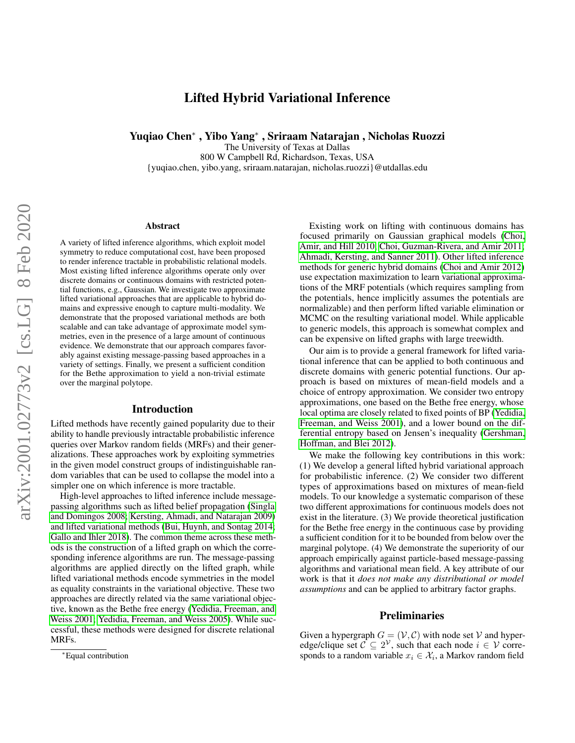# Lifted Hybrid Variational Inference

Yuqiao Chen<sup>∗</sup> , Yibo Yang<sup>∗</sup> , Sriraam Natarajan , Nicholas Ruozzi

The University of Texas at Dallas

800 W Campbell Rd, Richardson, Texas, USA

{yuqiao.chen, yibo.yang, sriraam.natarajan, nicholas.ruozzi}@utdallas.edu

#### Abstract

A variety of lifted inference algorithms, which exploit model symmetry to reduce computational cost, have been proposed to render inference tractable in probabilistic relational models. Most existing lifted inference algorithms operate only over discrete domains or continuous domains with restricted potential functions, e.g., Gaussian. We investigate two approximate lifted variational approaches that are applicable to hybrid domains and expressive enough to capture multi-modality. We demonstrate that the proposed variational methods are both scalable and can take advantage of approximate model symmetries, even in the presence of a large amount of continuous evidence. We demonstrate that our approach compares favorably against existing message-passing based approaches in a variety of settings. Finally, we present a sufficient condition for the Bethe approximation to yield a non-trivial estimate over the marginal polytope.

#### Introduction

Lifted methods have recently gained popularity due to their ability to handle previously intractable probabilistic inference queries over Markov random fields (MRFs) and their generalizations. These approaches work by exploiting symmetries in the given model construct groups of indistinguishable random variables that can be used to collapse the model into a simpler one on which inference is more tractable.

High-level approaches to lifted inference include messagepassing algorithms such as lifted belief propagation [\(Singla](#page-7-0) [and Domingos 2008;](#page-7-0) [Kersting, Ahmadi, and Natarajan 2009\)](#page-7-1) and lifted variational methods [\(Bui, Huynh, and Sontag 2014;](#page-7-2) [Gallo and Ihler 2018\)](#page-7-3). The common theme across these methods is the construction of a lifted graph on which the corresponding inference algorithms are run. The message-passing algorithms are applied directly on the lifted graph, while lifted variational methods encode symmetries in the model as equality constraints in the variational objective. These two approaches are directly related via the same variational objective, known as the Bethe free energy [\(Yedidia, Freeman, and](#page-7-4) [Weiss 2001;](#page-7-4) [Yedidia, Freeman, and Weiss 2005\)](#page-7-5). While successful, these methods were designed for discrete relational MRFs.

Existing work on lifting with continuous domains has focused primarily on Gaussian graphical models [\(Choi,](#page-7-6) [Amir, and Hill 2010;](#page-7-6) [Choi, Guzman-Rivera, and Amir 2011;](#page-7-7) [Ahmadi, Kersting, and Sanner 2011\)](#page-6-0). Other lifted inference methods for generic hybrid domains [\(Choi and Amir 2012\)](#page-7-8) use expectation maximization to learn variational approximations of the MRF potentials (which requires sampling from the potentials, hence implicitly assumes the potentials are normalizable) and then perform lifted variable elimination or MCMC on the resulting variational model. While applicable to generic models, this approach is somewhat complex and can be expensive on lifted graphs with large treewidth.

Our aim is to provide a general framework for lifted variational inference that can be applied to both continuous and discrete domains with generic potential functions. Our approach is based on mixtures of mean-field models and a choice of entropy approximation. We consider two entropy approximations, one based on the Bethe free energy, whose local optima are closely related to fixed points of BP [\(Yedidia,](#page-7-4) [Freeman, and Weiss 2001\)](#page-7-4), and a lower bound on the differential entropy based on Jensen's inequality [\(Gershman,](#page-7-9) [Hoffman, and Blei 2012\)](#page-7-9).

We make the following key contributions in this work: (1) We develop a general lifted hybrid variational approach for probabilistic inference. (2) We consider two different types of approximations based on mixtures of mean-field models. To our knowledge a systematic comparison of these two different approximations for continuous models does not exist in the literature. (3) We provide theoretical justification for the Bethe free energy in the continuous case by providing a sufficient condition for it to be bounded from below over the marginal polytope. (4) We demonstrate the superiority of our approach empirically against particle-based message-passing algorithms and variational mean field. A key attribute of our work is that it *does not make any distributional or model assumptions* and can be applied to arbitrary factor graphs.

# Preliminaries

Given a hypergraph  $G = (\mathcal{V}, \mathcal{C})$  with node set  $\mathcal V$  and hyperedge/clique set  $\mathcal{C} \subseteq 2^{\mathcal{V}}$ , such that each node  $i \in \mathcal{V}$  corresponds to a random variable  $x_i \in \mathcal{X}_i$ , a Markov random field

<sup>∗</sup>Equal contribution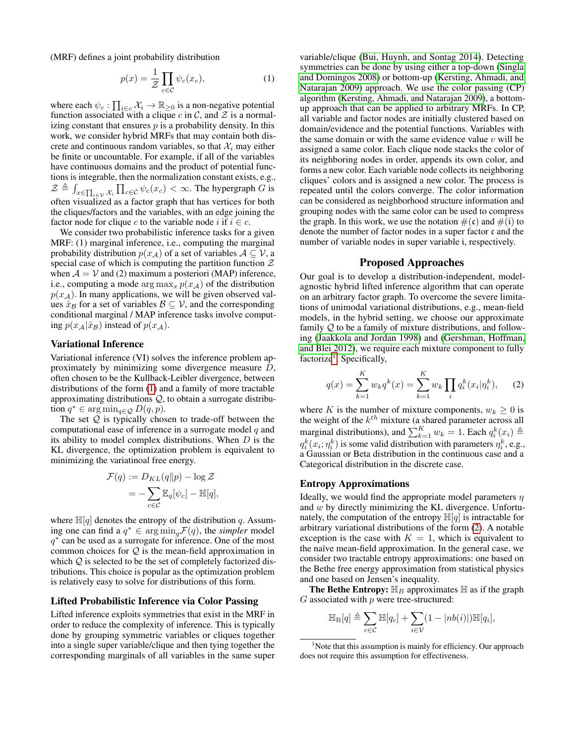(MRF) defines a joint probability distribution

$$
p(x) = \frac{1}{\mathcal{Z}} \prod_{c \in \mathcal{C}} \psi_c(x_c),\tag{1}
$$

where each  $\psi_c : \prod_{i \in c} \mathcal{X}_i \to \mathbb{R}_{\geq 0}$  is a non-negative potential function associated with a clique c in C, and  $\mathcal Z$  is a normalizing constant that ensures  $p$  is a probability density. In this work, we consider hybrid MRFs that may contain both discrete and continuous random variables, so that  $\mathcal{X}_i$  may either be finite or uncountable. For example, if all of the variables have continuous domains and the product of potential functions is integrable, then the normalization constant exists, e.g.,  $\mathcal{Z} \triangleq \int_{x \in \prod_{i \in \mathcal{V}} \mathcal{X}_i} \prod_{c \in \mathcal{C}} \psi_c(x_c) < \infty$ . The hypergraph G is often visualized as a factor graph that has vertices for both the cliques/factors and the variables, with an edge joining the factor node for clique c to the variable node i if  $i \in c$ .

We consider two probabilistic inference tasks for a given MRF: (1) marginal inference, i.e., computing the marginal probability distribution  $p(x_A)$  of a set of variables  $A \subseteq V$ , a special case of which is computing the partition function  $\mathcal Z$ when  $A = V$  and (2) maximum a posteriori (MAP) inference, i.e., computing a mode arg  $\max_x p(x_A)$  of the distribution  $p(x_A)$ . In many applications, we will be given observed values  $\hat{x}_{\mathcal{B}}$  for a set of variables  $\mathcal{B} \subseteq \mathcal{V}$ , and the corresponding conditional marginal / MAP inference tasks involve computing  $p(x_{\mathcal{A}}|\hat{x}_{\mathcal{B}})$  instead of  $p(x_{\mathcal{A}})$ .

#### Variational Inference

Variational inference (VI) solves the inference problem approximately by minimizing some divergence measure D, often chosen to be the Kullback-Leibler divergence, between distributions of the form [\(1\)](#page-1-0) and a family of more tractable approximating distributions  $Q$ , to obtain a surrogate distribution  $q^* \in \arg\min_{q \in \mathcal{Q}} D(q, p)$ .

The set  $Q$  is typically chosen to trade-off between the computational ease of inference in a surrogate model  $q$  and its ability to model complex distributions. When  $D$  is the KL divergence, the optimization problem is equivalent to minimizing the variatinoal free energy.

$$
\mathcal{F}(q) := D_{KL}(q||p) - \log \mathcal{Z}
$$

$$
= -\sum_{c \in \mathcal{C}} \mathbb{E}_{q}[\psi_c] - \mathbb{H}[q],
$$

where  $\mathbb{H}[q]$  denotes the entropy of the distribution q. Assuming one can find a  $q^* \in \arg\min_q \mathcal{F}(q)$ , the *simpler* model  $q^*$  can be used as a surrogate for inference. One of the most common choices for  $Q$  is the mean-field approximation in which  $Q$  is selected to be the set of completely factorized distributions. This choice is popular as the optimization problem is relatively easy to solve for distributions of this form.

### Lifted Probabilistic Inference via Color Passing

Lifted inference exploits symmetries that exist in the MRF in order to reduce the complexity of inference. This is typically done by grouping symmetric variables or cliques together into a single super variable/clique and then tying together the corresponding marginals of all variables in the same super

<span id="page-1-0"></span>variable/clique [\(Bui, Huynh, and Sontag 2014\)](#page-7-2). Detecting symmetries can be done by using either a top-down [\(Singla](#page-7-0) [and Domingos 2008\)](#page-7-0) or bottom-up [\(Kersting, Ahmadi, and](#page-7-1) [Natarajan 2009\)](#page-7-1) approach. We use the color passing (CP) algorithm [\(Kersting, Ahmadi, and Natarajan 2009\)](#page-7-1), a bottomup approach that can be applied to arbitrary MRFs. In CP, all variable and factor nodes are initially clustered based on domain/evidence and the potential functions. Variables with the same domain or with the same evidence value  $v$  will be assigned a same color. Each clique node stacks the color of its neighboring nodes in order, appends its own color, and forms a new color. Each variable node collects its neighboring cliques' colors and is assigned a new color. The process is repeated until the colors converge. The color information can be considered as neighborhood structure information and grouping nodes with the same color can be used to compress the graph. In this work, we use the notation  $\#(\mathfrak{c})$  and  $\#(\mathfrak{i})$  to denote the number of factor nodes in a super factor c and the number of variable nodes in super variable i, respectively.

# Proposed Approaches

Our goal is to develop a distribution-independent, modelagnostic hybrid lifted inference algorithm that can operate on an arbitrary factor graph. To overcome the severe limitations of unimodal variational distributions, e.g., mean-field models, in the hybrid setting, we choose our approximate family Q to be a family of mixture distributions, and following [\(Jaakkola and Jordan 1998\)](#page-7-10) and [\(Gershman, Hoffman,](#page-7-9) [and Blei 2012\)](#page-7-9), we require each mixture component to fully factorize<sup>[1](#page-1-1)</sup>. Specifically,

<span id="page-1-2"></span>
$$
q(x) = \sum_{k=1}^{K} w_k q^k(x) = \sum_{k=1}^{K} w_k \prod_i q_i^k (x_i | \eta_i^k), \quad (2)
$$

where K is the number of mixture components,  $w_k \geq 0$  is the weight of the  $k^{th}$  mixture (a shared parameter across all marginal distributions), and  $\sum_{k=1}^{K} w_k = 1$ . Each  $q_i^k(x_i) \triangleq$  $q_i^k(x_i; \eta_i^k)$  is some valid distribution with parameters  $\eta_i^k$ , e.g., a Gaussian or Beta distribution in the continuous case and a Categorical distribution in the discrete case.

### Entropy Approximations

Ideally, we would find the appropriate model parameters  $\eta$ and w by directly minimizing the KL divergence. Unfortunately, the computation of the entropy  $\mathbb{H}[q]$  is intractable for arbitrary variational distributions of the form [\(2\)](#page-1-2). A notable exception is the case with  $K = 1$ , which is equivalent to the naïve mean-field approximation. In the general case, we consider two tractable entropy approximations: one based on the Bethe free energy approximation from statistical physics and one based on Jensen's inequality.

The Bethe Entropy:  $\mathbb{H}_B$  approximates  $\mathbb H$  as if the graph  $G$  associated with  $p$  were tree-structured:

$$
\mathbb{H}_{\mathrm{B}}[q] \triangleq \sum_{c \in \mathcal{C}} \mathbb{H}[q_c] + \sum_{i \in \mathcal{V}} (1 - |nb(i)|) \mathbb{H}[q_i],
$$

<span id="page-1-1"></span><sup>&</sup>lt;sup>1</sup>Note that this assumption is mainly for efficiency. Our approach does not require this assumption for effectiveness.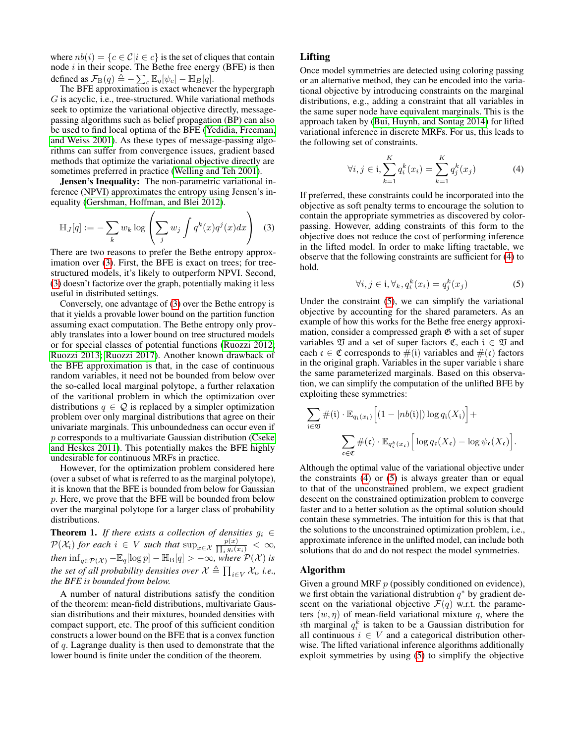where  $nb(i) = \{c \in C | i \in c\}$  is the set of cliques that contain node  $i$  in their scope. The Bethe free energy (BFE) is then defined as  $\mathcal{F}_{\text{B}}(q) \triangleq -\sum_{c} \mathbb{E}_{q}[\psi_c] - \mathbb{H}_B[q]$ .

The BFE approximation is exact whenever the hypergraph G is acyclic, i.e., tree-structured. While variational methods seek to optimize the variational objective directly, messagepassing algorithms such as belief propagation (BP) can also be used to find local optima of the BFE [\(Yedidia, Freeman,](#page-7-4) [and Weiss 2001\)](#page-7-4). As these types of message-passing algorithms can suffer from convergence issues, gradient based methods that optimize the variational objective directly are sometimes preferred in practice [\(Welling and Teh 2001\)](#page-7-11).

Jensen's Inequality: The non-parametric variational inference (NPVI) approximates the entropy using Jensen's inequality [\(Gershman, Hoffman, and Blei 2012\)](#page-7-9).

$$
\mathbb{H}_J[q] := -\sum_k w_k \log \left( \sum_j w_j \int q^k(x) q^j(x) dx \right) \quad (3)
$$

There are two reasons to prefer the Bethe entropy approx-imation over [\(3\)](#page-2-0). First, the BFE is exact on trees; for treestructured models, it's likely to outperform NPVI. Second, [\(3\)](#page-2-0) doesn't factorize over the graph, potentially making it less useful in distributed settings.

Conversely, one advantage of [\(3\)](#page-2-0) over the Bethe entropy is that it yields a provable lower bound on the partition function assuming exact computation. The Bethe entropy only provably translates into a lower bound on tree structured models or for special classes of potential functions [\(Ruozzi 2012;](#page-7-12) [Ruozzi 2013;](#page-7-13) [Ruozzi 2017\)](#page-7-14). Another known drawback of the BFE approximation is that, in the case of continuous random variables, it need not be bounded from below over the so-called local marginal polytope, a further relaxation of the varitional problem in which the optimization over distributions  $q \in \mathcal{Q}$  is replaced by a simpler optimization problem over only marginal distributions that agree on their univariate marginals. This unboundedness can occur even if p corresponds to a multivariate Gaussian distribution [\(Cseke](#page-7-15) [and Heskes 2011\)](#page-7-15). This potentially makes the BFE highly undesirable for continuous MRFs in practice.

However, for the optimization problem considered here (over a subset of what is referred to as the marginal polytope), it is known that the BFE is bounded from below for Gaussian p. Here, we prove that the BFE will be bounded from below over the marginal polytope for a larger class of probability distributions.

**Theorem 1.** *If there exists a collection of densities*  $g_i \in$  $\mathcal{P}(\mathcal{X}_i)$  *for each*  $i \in V$  *such that*  $\sup_{x \in \mathcal{X}} \frac{p(x)}{\prod_i g_i(x_i)} < \infty$ ,  $\lim_{q \in \mathcal{P}(\mathcal{X})} -\mathbb{E}_q[\log p] - \mathbb{H}_{\text{B}}[q] > -\infty$ , where  $\mathcal{P}(\mathcal{X})$  *is the set of all probability densities over*  $\mathcal{X} \triangleq \prod_{i \in V} \mathcal{X}_i$ , *i.e.*, *the BFE is bounded from below.*

A number of natural distributions satisfy the condition of the theorem: mean-field distributions, multivariate Gaussian distributions and their mixtures, bounded densities with compact support, etc. The proof of this sufficient condition constructs a lower bound on the BFE that is a convex function of q. Lagrange duality is then used to demonstrate that the lower bound is finite under the condition of the theorem.

# Lifting

Once model symmetries are detected using coloring passing or an alternative method, they can be encoded into the variational objective by introducing constraints on the marginal distributions, e.g., adding a constraint that all variables in the same super node have equivalent marginals. This is the approach taken by [\(Bui, Huynh, and Sontag 2014\)](#page-7-2) for lifted variational inference in discrete MRFs. For us, this leads to the following set of constraints.

<span id="page-2-1"></span>
$$
\forall i, j \in \mathfrak{i}, \sum_{k=1}^{K} q_i^k(x_i) = \sum_{k=1}^{K} q_j^k(x_j)
$$
 (4)

<span id="page-2-0"></span>If preferred, these constraints could be incorporated into the objective as soft penalty terms to encourage the solution to contain the appropriate symmetries as discovered by colorpassing. However, adding constraints of this form to the objective does not reduce the cost of performing inference in the lifted model. In order to make lifting tractable, we observe that the following constraints are sufficient for [\(4\)](#page-2-1) to hold.

<span id="page-2-2"></span>
$$
\forall i, j \in \mathfrak{i}, \forall_k, q_i^k(x_i) = q_j^k(x_j) \tag{5}
$$

Under the constraint [\(5\)](#page-2-2), we can simplify the variational objective by accounting for the shared parameters. As an example of how this works for the Bethe free energy approximation, consider a compressed graph  $\mathfrak G$  with a set of super variables  $\mathfrak V$  and a set of super factors  $\mathfrak C$ , each  $i \in \mathfrak V$  and each  $\mathfrak{c} \in \mathfrak{C}$  corresponds to  $\#(\mathfrak{i})$  variables and  $\#(\mathfrak{c})$  factors in the original graph. Variables in the super variable i share the same parameterized marginals. Based on this observation, we can simplify the computation of the unlifted BFE by exploiting these symmetries:

$$
\sum_{i \in \mathfrak{V}} \#(i) \cdot \mathbb{E}_{q_i(x_i)} \Big[ (1 - |nb(i)|) \log q_i(X_i) \Big] +
$$
  

$$
\sum_{\mathfrak{c} \in \mathfrak{C}} \#(\mathfrak{c}) \cdot \mathbb{E}_{q_{\mathfrak{c}}^k(x_{\mathfrak{c}})} \Big[ \log q_{\mathfrak{c}}(X_{\mathfrak{c}}) - \log \psi_{\mathfrak{c}}(X_{\mathfrak{c}}) \Big].
$$

Although the optimal value of the variational objective under the constraints [\(4\)](#page-2-1) or [\(5\)](#page-2-2) is always greater than or equal to that of the unconstrained problem, we expect gradient descent on the constrained optimization problem to converge faster and to a better solution as the optimal solution should contain these symmetries. The intuition for this is that that the solutions to the unconstrained optimization problem, i.e., approximate inference in the unlifted model, can include both solutions that do and do not respect the model symmetries.

#### Algorithm

Given a ground MRF  $p$  (possibly conditioned on evidence), we first obtain the variational distrubtion  $q^*$  by gradient descent on the variational objective  $\mathcal{F}(q)$  w.r.t. the parameters  $(w, \eta)$  of mean-field variational mixture q, where the *i*th marginal  $q_i^k$  is taken to be a Gaussian distribution for all continuous  $i \in V$  and a categorical distribution otherwise. The lifted variational inference algorithms additionally exploit symmetries by using [\(5\)](#page-2-2) to simplify the objective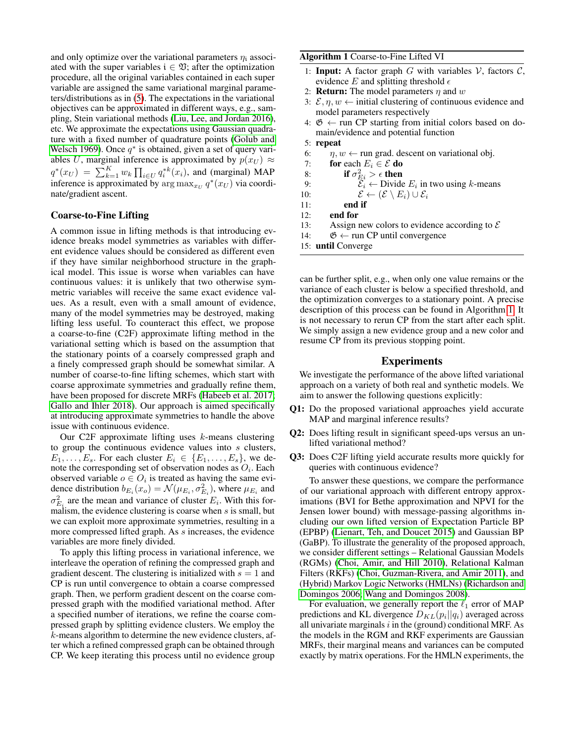and only optimize over the variational parameters  $\eta_i$  associated with the super variables  $i \in \mathfrak{V}$ ; after the optimization procedure, all the original variables contained in each super variable are assigned the same variational marginal parameters/distributions as in [\(5\)](#page-2-2). The expectations in the variational objectives can be approximated in different ways, e.g., sampling, Stein variational methods [\(Liu, Lee, and Jordan 2016\)](#page-7-16), etc. We approximate the expectations using Gaussian quadrature with a fixed number of quadrature points [\(Golub and](#page-7-17) [Welsch 1969\)](#page-7-17). Once  $q^*$  is obtained, given a set of query variables U, marginal inference is approximated by  $p(x_U) \approx$  $q^*(x_U) = \sum_{k=1}^K w_k \prod_{i \in U} q_i^{*k}(x_i)$ , and (marginal) MAP inference is approximated by  $\argmax_{x_U} q^*(x_U)$  via coordinate/gradient ascent.

# Coarse-to-Fine Lifting

A common issue in lifting methods is that introducing evidence breaks model symmetries as variables with different evidence values should be considered as different even if they have similar neighborhood structure in the graphical model. This issue is worse when variables can have continuous values: it is unlikely that two otherwise symmetric variables will receive the same exact evidence values. As a result, even with a small amount of evidence, many of the model symmetries may be destroyed, making lifting less useful. To counteract this effect, we propose a coarse-to-fine (C2F) approximate lifting method in the variational setting which is based on the assumption that the stationary points of a coarsely compressed graph and a finely compressed graph should be somewhat similar. A number of coarse-to-fine lifting schemes, which start with coarse approximate symmetries and gradually refine them, have been proposed for discrete MRFs [\(Habeeb et al.](#page-7-18) 2017; [Gallo and Ihler 2018\)](#page-7-3). Our approach is aimed specifically at introducing approximate symmetries to handle the above issue with continuous evidence.

Our C2F approximate lifting uses  $k$ -means clustering to group the continuous evidence values into s clusters,  $E_1, \ldots, E_s$ . For each cluster  $E_i \in \{E_1, \ldots, E_s\}$ , we denote the corresponding set of observation nodes as  $O_i$ . Each observed variable  $o \in O_i$  is treated as having the same evidence distribution  $b_{E_i}(x_o) = \mathcal{N}(\mu_{E_i}, \sigma_{E_i}^2)$ , where  $\mu_{E_i}$  and  $\sigma_{E_i}^2$  are the mean and variance of cluster  $E_i$ . With this formalism, the evidence clustering is coarse when  $s$  is small, but we can exploit more approximate symmetries, resulting in a more compressed lifted graph. As s increases, the evidence variables are more finely divided.

To apply this lifting process in variational inference, we interleave the operation of refining the compressed graph and gradient descent. The clustering is initialized with  $s = 1$  and CP is run until convergence to obtain a coarse compressed graph. Then, we perform gradient descent on the coarse compressed graph with the modified variational method. After a specified number of iterations, we refine the coarse compressed graph by splitting evidence clusters. We employ the k-means algorithm to determine the new evidence clusters, after which a refined compressed graph can be obtained through CP. We keep iterating this process until no evidence group

#### <span id="page-3-0"></span>Algorithm 1 Coarse-to-Fine Lifted VI

- 1: Input: A factor graph  $G$  with variables  $V$ , factors  $C$ , evidence E and splitting threshold  $\epsilon$
- 2: **Return:** The model parameters  $\eta$  and  $w$
- 3:  $\mathcal{E}, \eta, w \leftarrow$  initial clustering of continuous evidence and model parameters respectively
- 4:  $\mathfrak{G} \leftarrow$  run CP starting from initial colors based on domain/evidence and potential function
- 5: repeat
- 6:  $\eta, w \leftarrow$  run grad. descent on variational obj.
- 7: for each  $E_i \in \mathcal{E}$  do
- 8: **if**  $\sigma_{E_i}^2 > \epsilon$  **then**
- 9:  $\mathcal{E}_i \leftarrow$  Divide  $E_i$  in two using k-means

10:  $\mathcal{E} \leftarrow (\mathcal{E} \setminus E_i) \cup \mathcal{E}_i$ 

- 11: end if
- 12: end for
- 13: Assign new colors to evidence according to  $\mathcal E$
- 14:  $\mathfrak{G} \leftarrow$  run CP until convergence
- 15: until Converge

can be further split, e.g., when only one value remains or the variance of each cluster is below a specified threshold, and the optimization converges to a stationary point. A precise description of this process can be found in Algorithm [1.](#page-3-0) It is not necessary to rerun CP from the start after each split. We simply assign a new evidence group and a new color and resume CP from its previous stopping point.

# Experiments

We investigate the performance of the above lifted variational approach on a variety of both real and synthetic models. We aim to answer the following questions explicitly:

- Q1: Do the proposed variational approaches yield accurate MAP and marginal inference results?
- Q2: Does lifting result in significant speed-ups versus an unlifted variational method?
- Q3: Does C2F lifting yield accurate results more quickly for queries with continuous evidence?

To answer these questions, we compare the performance of our variational approach with different entropy approximations (BVI for Bethe approximation and NPVI for the Jensen lower bound) with message-passing algorithms including our own lifted version of Expectation Particle BP (EPBP) [\(Lienart, Teh, and Doucet 2015\)](#page-7-19) and Gaussian BP (GaBP). To illustrate the generality of the proposed approach, we consider different settings – Relational Gaussian Models (RGMs) [\(Choi, Amir, and Hill 2010\)](#page-7-6), Relational Kalman Filters (RKFs) [\(Choi, Guzman-Rivera, and Amir 2011\)](#page-7-7), and (Hybrid) Markov Logic Networks (HMLNs) [\(Richardson and](#page-7-20) [Domingos 2006;](#page-7-20) [Wang and Domingos 2008\)](#page-7-21).

For evaluation, we generally report the  $\ell_1$  error of MAP predictions and KL divergence  $D_{KL}(p_i||q_i)$  averaged across all univariate marginals  $i$  in the (ground) conditional MRF. As the models in the RGM and RKF experiments are Gaussian MRFs, their marginal means and variances can be computed exactly by matrix operations. For the HMLN experiments, the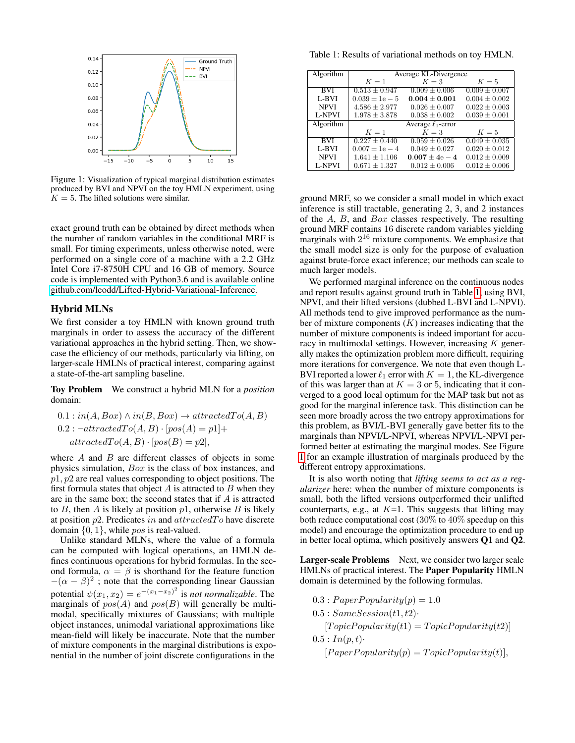<span id="page-4-1"></span>

Figure 1: Visualization of typical marginal distribution estimates produced by BVI and NPVI on the toy HMLN experiment, using  $K = 5$ . The lifted solutions were similar.

exact ground truth can be obtained by direct methods when the number of random variables in the conditional MRF is small. For timing experiments, unless otherwise noted, were performed on a single core of a machine with a 2.2 GHz Intel Core i7-8750H CPU and 16 GB of memory. Source code is implemented with Python3.6 and is available online [github.com/leodd/Lifted-Hybrid-Variational-Inference.](github.com/leodd/Lifted-Hybrid-Variational-Inference)

# Hybrid MLNs

We first consider a toy HMLN with known ground truth marginals in order to assess the accuracy of the different variational approaches in the hybrid setting. Then, we showcase the efficiency of our methods, particularly via lifting, on larger-scale HMLNs of practical interest, comparing against a state-of-the-art sampling baseline.

Toy Problem We construct a hybrid MLN for a *position* domain:

$$
0.1: in(A, Box) \land in(B, Box) \rightarrow attractedTo(A, B)
$$
  

$$
0.2: \neg attractedTo(A, B) \cdot [pos(A) = p1] +
$$
  

$$
attractedTo(A, B) \cdot [pos(B) = p2],
$$

where  $A$  and  $B$  are different classes of objects in some physics simulation, Box is the class of box instances, and  $p1, p2$  are real values corresponding to object positions. The first formula states that object  $A$  is attracted to  $B$  when they are in the same box; the second states that if A is attracted to  $B$ , then  $A$  is likely at position  $p1$ , otherwise  $B$  is likely at position  $p2$ . Predicates in and  $attracted To$  have discrete domain  $\{0, 1\}$ , while pos is real-valued.

Unlike standard MLNs, where the value of a formula can be computed with logical operations, an HMLN defines continuous operations for hybrid formulas. In the second formula,  $\alpha = \beta$  is shorthand for the feature function  $-(\alpha - \beta)^2$ ; note that the corresponding linear Gaussian potential  $\psi(x_1, x_2) = e^{-(x_1 - x_2)^2}$  is *not normalizable*. The marginals of  $pos(A)$  and  $pos(B)$  will generally be multimodal, specifically mixtures of Gaussians; with multiple object instances, unimodal variational approximations like mean-field will likely be inaccurate. Note that the number of mixture components in the marginal distributions is exponential in the number of joint discrete configurations in the

<span id="page-4-0"></span>Table 1: Results of variational methods on toy HMLN.

| Algorithm     | Average KL-Divergence |                         |                   |
|---------------|-----------------------|-------------------------|-------------------|
|               | $K=1$                 | $K=3$                   | $K=5$             |
| <b>BVI</b>    | $0.513 \pm 0.947$     | $0.009 \pm 0.006$       | $0.009 \pm 0.007$ |
| L-BVI         | $0.039 \pm 1e - 5$    | $0.004 + 0.001$         | $0.004 \pm 0.002$ |
| <b>NPVI</b>   | $4.586 \pm 2.977$     | $0.026 \pm 0.007$       | $0.022 \pm 0.003$ |
| L-NPVI        | $1.978 \pm 3.878$     | $0.038 \pm 0.002$       | $0.039 \pm 0.001$ |
| Algorithm     |                       | Average $\ell_1$ -error |                   |
|               | $K=1$                 | $K=3$                   | $K=5$             |
| <b>BVI</b>    | $0.227 \pm 0.440$     | $0.059 \pm 0.026$       | $0.049 \pm 0.035$ |
| L-BVI         | $0.007 \pm 1e - 4$    | $0.049 \pm 0.027$       | $0.020 \pm 0.012$ |
| <b>NPVI</b>   | $1.641 \pm 1.106$     | $0.007 \pm 4e - 4$      | $0.012 \pm 0.009$ |
| <b>L-NPVI</b> | $0.671 \pm 1.327$     | $0.012 \pm 0.006$       | $0.012 \pm 0.006$ |

ground MRF, so we consider a small model in which exact inference is still tractable, generating 2, 3, and 2 instances of the A, B, and Box classes respectively. The resulting ground MRF contains 16 discrete random variables yielding marginals with  $2^{16}$  mixture components. We emphasize that the small model size is only for the purpose of evaluation against brute-force exact inference; our methods can scale to much larger models.

We performed marginal inference on the continuous nodes and report results against ground truth in Table [1,](#page-4-0) using BVI, NPVI, and their lifted versions (dubbed L-BVI and L-NPVI). All methods tend to give improved performance as the number of mixture components  $(K)$  increases indicating that the number of mixture components is indeed important for accuracy in multimodal settings. However, increasing  $K$  generally makes the optimization problem more difficult, requiring more iterations for convergence. We note that even though L-BVI reported a lower  $\ell_1$  error with  $K = 1$ , the KL-divergence of this was larger than at  $K = 3$  or 5, indicating that it converged to a good local optimum for the MAP task but not as good for the marginal inference task. This distinction can be seen more broadly across the two entropy approximations for this problem, as BVI/L-BVI generally gave better fits to the marginals than NPVI/L-NPVI, whereas NPVI/L-NPVI performed better at estimating the marginal modes. See Figure [1](#page-4-1) for an example illustration of marginals produced by the different entropy approximations.

It is also worth noting that *lifting seems to act as a regularizer* here: when the number of mixture components is small, both the lifted versions outperformed their unlifted counterparts, e.g., at  $K=1$ . This suggests that lifting may both reduce computational cost (30% to 40% speedup on this model) and encourage the optimization procedure to end up in better local optima, which positively answers Q1 and Q2.

Larger-scale Problems Next, we consider two larger scale HMLNs of practical interest. The Paper Popularity HMLN domain is determined by the following formulas.

- $0.3: Paper Popularity(p) = 1.0$
- $0.5: SameSession(t1, t2)$ 
	- $[Topic Popularity(t1) = Topic Popularity(t2)]$
- $0.5: In(p, t)$ 
	- $[Paper Popularity(p) = Topic Popularity(t)],$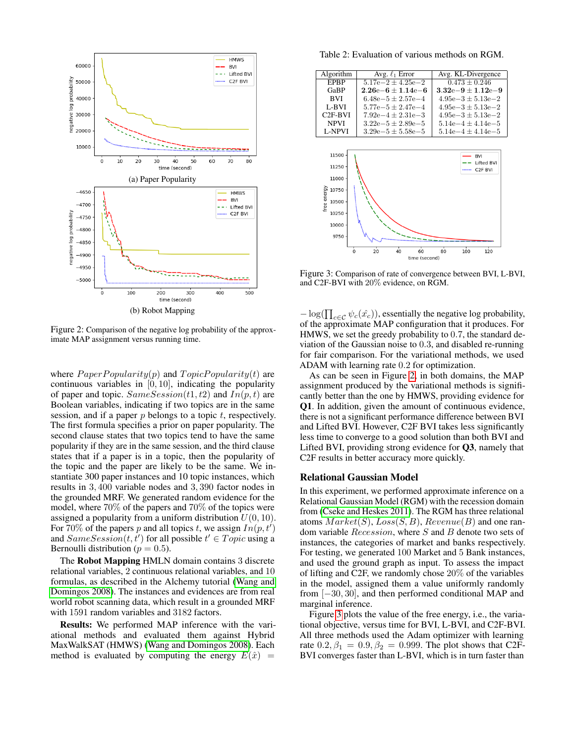<span id="page-5-0"></span>

Figure 2: Comparison of the negative log probability of the approximate MAP assignment versus running time.

where  $PaperPopularity(p)$  and  $TopicPopularity(t)$  are continuous variables in  $[0, 10]$ , indicating the popularity of paper and topic.  $SameSession(t1, t2)$  and  $In(p, t)$  are Boolean variables, indicating if two topics are in the same session, and if a paper  $p$  belongs to a topic  $t$ , respectively. The first formula specifies a prior on paper popularity. The second clause states that two topics tend to have the same popularity if they are in the same session, and the third clause states that if a paper is in a topic, then the popularity of the topic and the paper are likely to be the same. We instantiate 300 paper instances and 10 topic instances, which results in 3, 400 variable nodes and 3, 390 factor nodes in the grounded MRF. We generated random evidence for the model, where 70% of the papers and 70% of the topics were assigned a popularity from a uniform distribution  $U(0, 10)$ . For 70% of the papers p and all topics t, we assign  $In(p, t')$ and  $SameSession(t, t')$  for all possible  $t' \in Topic$  using a Bernoulli distribution ( $p = 0.5$ ).

The Robot Mapping HMLN domain contains 3 discrete relational variables, 2 continuous relational variables, and 10 formulas, as described in the Alchemy tutorial [\(Wang and](#page-7-21) [Domingos 2008\)](#page-7-21). The instances and evidences are from real world robot scanning data, which result in a grounded MRF with 1591 random variables and 3182 factors.

Results: We performed MAP inference with the variational methods and evaluated them against Hybrid MaxWalkSAT (HMWS) [\(Wang and Domingos 2008\)](#page-7-21). Each method is evaluated by computing the energy  $E(\hat{x}) =$ 

Table 2: Evaluation of various methods on RGM.

<span id="page-5-2"></span><span id="page-5-1"></span>

Figure 3: Comparison of rate of convergence between BVI, L-BVI, and C2F-BVI with 20% evidence, on RGM.

 $-\log(\prod_{c \in \mathcal{C}} \psi_c(\hat{x}_c))$ , essentially the negative log probability, of the approximate MAP configuration that it produces. For HMWS, we set the greedy probability to 0.7, the standard deviation of the Gaussian noise to 0.3, and disabled re-running for fair comparison. For the variational methods, we used ADAM with learning rate 0.2 for optimization.

As can be seen in Figure [2,](#page-5-0) in both domains, the MAP assignment produced by the variational methods is significantly better than the one by HMWS, providing evidence for Q1. In addition, given the amount of continuous evidence, there is not a significant performance difference between BVI and Lifted BVI. However, C2F BVI takes less significantly less time to converge to a good solution than both BVI and Lifted BVI, providing strong evidence for Q3, namely that C2F results in better accuracy more quickly.

#### Relational Gaussian Model

In this experiment, we performed approximate inference on a Relational Gaussian Model (RGM) with the recession domain from [\(Cseke and Heskes 2011\)](#page-7-15). The RGM has three relational atoms  $Market(S), Loss(S, B), Revenue(B)$  and one random variable Recession, where S and B denote two sets of instances, the categories of market and banks respectively. For testing, we generated 100 Market and 5 Bank instances, and used the ground graph as input. To assess the impact of lifting and C2F, we randomly chose 20% of the variables in the model, assigned them a value uniformly randomly from [−30, 30], and then performed conditional MAP and marginal inference.

Figure [3](#page-5-1) plots the value of the free energy, i.e., the variational objective, versus time for BVI, L-BVI, and C2F-BVI. All three methods used the Adam optimizer with learning rate  $0.2, \beta_1 = 0.9, \beta_2 = 0.999$ . The plot shows that C2F-BVI converges faster than L-BVI, which is in turn faster than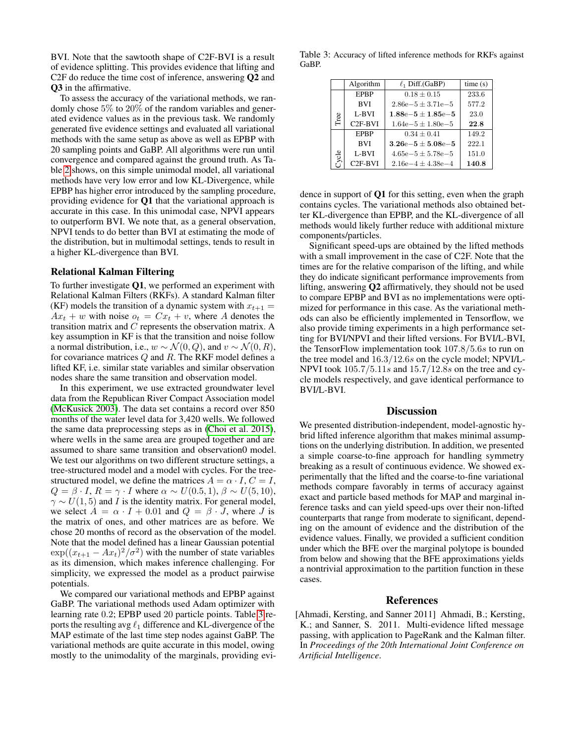BVI. Note that the sawtooth shape of C2F-BVI is a result of evidence splitting. This provides evidence that lifting and C2F do reduce the time cost of inference, answering Q2 and Q3 in the affirmative.

To assess the accuracy of the variational methods, we randomly chose 5% to 20% of the random variables and generated evidence values as in the previous task. We randomly generated five evidence settings and evaluated all variational methods with the same setup as above as well as EPBP with 20 sampling points and GaBP. All algorithms were run until convergence and compared against the ground truth. As Table [2](#page-5-2) shows, on this simple unimodal model, all variational methods have very low error and low KL-Divergence, while EPBP has higher error introduced by the sampling procedure, providing evidence for Q1 that the variational approach is accurate in this case. In this unimodal case, NPVI appears to outperform BVI. We note that, as a general observation, NPVI tends to do better than BVI at estimating the mode of the distribution, but in multimodal settings, tends to result in a higher KL-divergence than BVI.

#### Relational Kalman Filtering

To further investigate Q1, we performed an experiment with Relational Kalman Filters (RKFs). A standard Kalman filter (KF) models the transition of a dynamic system with  $x_{t+1} =$  $Ax_t + w$  with noise  $o_t = Cx_t + v$ , where A denotes the transition matrix and C represents the observation matrix. A key assumption in KF is that the transition and noise follow a normal distribution, i.e.,  $w \sim \mathcal{N}(0, Q)$ , and  $v \sim \mathcal{N}(0, R)$ , for covariance matrices Q and R. The RKF model defines a lifted KF, i.e. similar state variables and similar observation nodes share the same transition and observation model.

In this experiment, we use extracted groundwater level data from the Republican River Compact Association model [\(McKusick 2003\)](#page-7-22). The data set contains a record over 850 months of the water level data for 3,420 wells. We followed the same data preprocessing steps as in [\(Choi et al.](#page-7-23) 2015), where wells in the same area are grouped together and are assumed to share same transition and observation0 model. We test our algorithms on two different structure settings, a tree-structured model and a model with cycles. For the treestructured model, we define the matrices  $A = \alpha \cdot I$ ,  $C = I$ ,  $Q = \beta \cdot I$ ,  $R = \gamma \cdot I$  where  $\alpha \sim U(0.5, 1)$ ,  $\beta \sim U(5, 10)$ ,  $\gamma \sim U(1, 5)$  and *I* is the identity matrix. For general model, we select  $A = \alpha \cdot I + 0.01$  and  $Q = \beta \cdot J$ , where J is the matrix of ones, and other matrices are as before. We chose 20 months of record as the observation of the model. Note that the model defined has a linear Gaussian potential  $\exp((x_{t+1} - Ax_t)^2/\sigma^2)$  with the number of state variables as its dimension, which makes inference challenging. For simplicity, we expressed the model as a product pairwise potentials.

We compared our variational methods and EPBP against GaBP. The variational methods used Adam optimizer with learning rate 0.2; EPBP used 20 particle points. Table [3](#page-6-1) reports the resulting avg  $\ell_1$  difference and KL-divergence of the MAP estimate of the last time step nodes against GaBP. The variational methods are quite accurate in this model, owing mostly to the unimodality of the marginals, providing evi-

<span id="page-6-1"></span>Table 3: Accuracy of lifted inference methods for RKFs against GaBP.

|       | Algorithm           | $\ell_1$ Diff.(GaBP)  | time(s) |
|-------|---------------------|-----------------------|---------|
| Tree  | <b>EPBP</b>         | $0.18 \pm 0.15$       | 233.6   |
|       | <b>BVI</b>          | $2.86e-5 \pm 3.71e-5$ | 577.2   |
|       | L-BVI               | $1.88e-5 \pm 1.85e-5$ | 23.0    |
|       | $C2F-BVI$           | $1.64e-5 \pm 1.80e-5$ | 22.8    |
| Cycle | <b>EPBP</b>         | $0.34 \pm 0.41$       | 149.2   |
|       | <b>BVI</b>          | $3.26e-5 \pm 5.08e-5$ | 222.1   |
|       | L-BVI               | $4.65e-5 \pm 5.78e-5$ | 151.0   |
|       | C <sub>2F-BVI</sub> | $2.16e-4 \pm 4.38e-4$ | 140.8   |

dence in support of Q1 for this setting, even when the graph contains cycles. The variational methods also obtained better KL-divergence than EPBP, and the KL-divergence of all methods would likely further reduce with additional mixture components/particles.

Significant speed-ups are obtained by the lifted methods with a small improvement in the case of C2F. Note that the times are for the relative comparison of the lifting, and while they do indicate significant performance improvements from lifting, answering Q2 affirmatively, they should not be used to compare EPBP and BVI as no implementations were optimized for performance in this case. As the variational methods can also be efficiently implemented in Tensorflow, we also provide timing experiments in a high performance setting for BVI/NPVI and their lifted versions. For BVI/L-BVI, the TensorFlow implementation took 107.8/5.6s to run on the tree model and 16.3/12.6s on the cycle model; NPVI/L-NPVI took 105.7/5.11s and 15.7/12.8s on the tree and cycle models respectively, and gave identical performance to BVI/L-BVI.

#### **Discussion**

We presented distribution-independent, model-agnostic hybrid lifted inference algorithm that makes minimal assumptions on the underlying distribution. In addition, we presented a simple coarse-to-fine approach for handling symmetry breaking as a result of continuous evidence. We showed experimentally that the lifted and the coarse-to-fine variational methods compare favorably in terms of accuracy against exact and particle based methods for MAP and marginal inference tasks and can yield speed-ups over their non-lifted counterparts that range from moderate to significant, depending on the amount of evidence and the distribution of the evidence values. Finally, we provided a sufficient condition under which the BFE over the marginal polytope is bounded from below and showing that the BFE approximations yields a nontrivial approximation to the partition function in these cases.

# References

<span id="page-6-0"></span>[Ahmadi, Kersting, and Sanner 2011] Ahmadi, B.; Kersting, K.; and Sanner, S. 2011. Multi-evidence lifted message passing, with application to PageRank and the Kalman filter. In *Proceedings of the 20th International Joint Conference on Artificial Intelligence*.